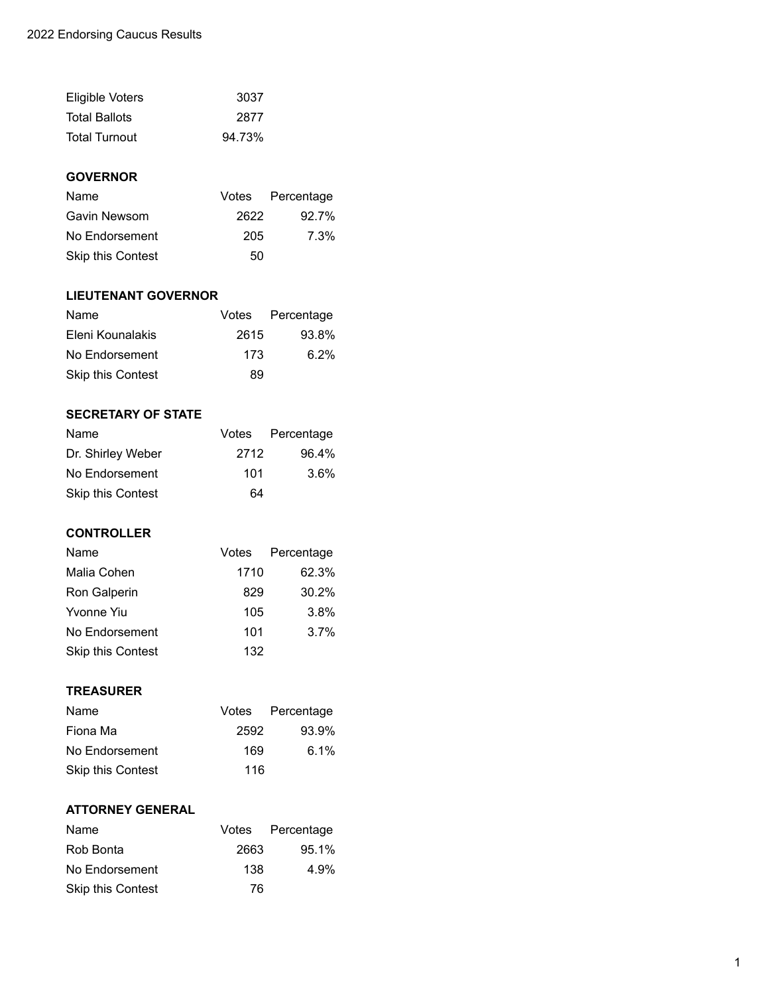| Eligible Voters      | 3037   |
|----------------------|--------|
| <b>Total Ballots</b> | 2877   |
| <b>Total Turnout</b> | 94.73% |

# **GOVERNOR**

| Name                     |      | Votes Percentage |
|--------------------------|------|------------------|
| Gavin Newsom             | 2622 | $92.7\%$         |
| No Endorsement           | 205  | 7.3%             |
| <b>Skip this Contest</b> | 50   |                  |

### **LIEUTENANT GOVERNOR**

| Name              |      | Votes Percentage |
|-------------------|------|------------------|
| Eleni Kounalakis  | 2615 | 93.8%            |
| No Endorsement    | 173  | $6.2\%$          |
| Skip this Contest | 89   |                  |

# **SECRETARY OF STATE**

| Name                     |      | Votes Percentage |
|--------------------------|------|------------------|
| Dr. Shirley Weber        | 2712 | 96.4%            |
| No Endorsement           | 101  | $3.6\%$          |
| <b>Skip this Contest</b> | 64   |                  |

# **CONTROLLER**

| Name                     |      | Votes Percentage |
|--------------------------|------|------------------|
| Malia Cohen              | 1710 | 62.3%            |
| Ron Galperin             | 829  | 30.2%            |
| Yvonne Yiu               | 105  | 3.8%             |
| No Endorsement           | 101  | $3.7\%$          |
| <b>Skip this Contest</b> | 132  |                  |
|                          |      |                  |

#### **TREASURER**

| Name                     |      | Votes Percentage |
|--------------------------|------|------------------|
| Fiona Ma                 | 2592 | 93.9%            |
| No Endorsement           | 169  | 6.1%             |
| <b>Skip this Contest</b> | 116  |                  |

### **ATTORNEY GENERAL**

| Name              |      | Votes Percentage |
|-------------------|------|------------------|
| Rob Bonta         | 2663 | 95.1%            |
| No Endorsement    | 138  | 4.9%             |
| Skip this Contest | 76   |                  |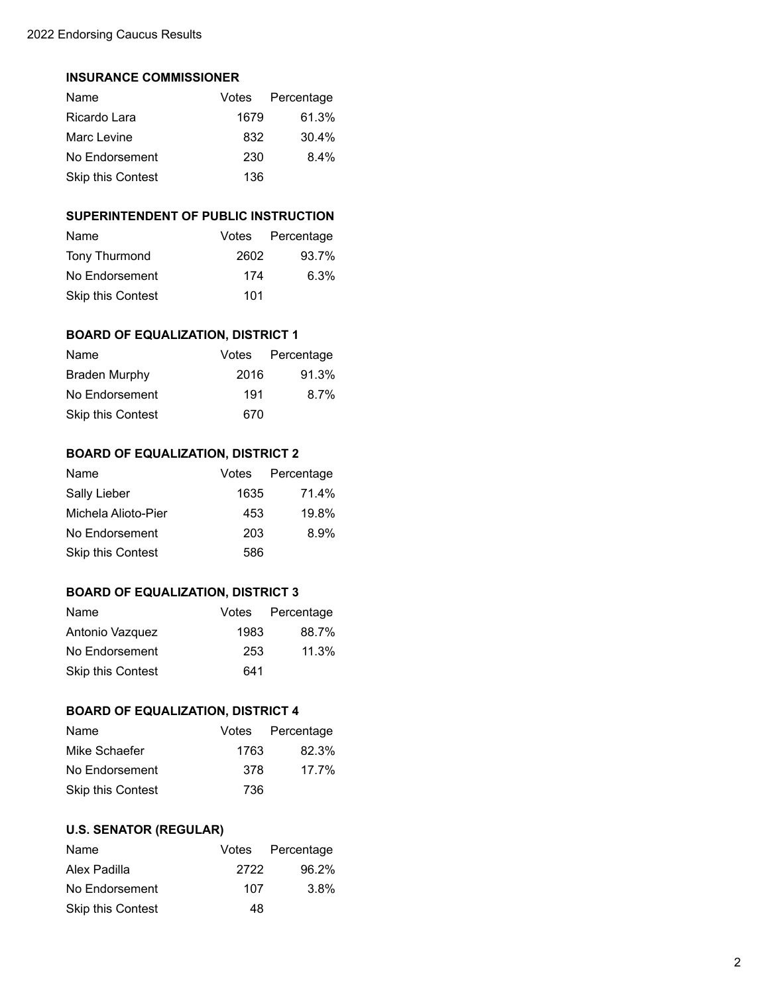#### **INSURANCE COMMISSIONER**

| Name                     |      | Votes Percentage |
|--------------------------|------|------------------|
| Ricardo Lara             | 1679 | 61.3%            |
| Marc Levine              | 832  | 30.4%            |
| No Endorsement           | 230  | $8.4\%$          |
| <b>Skip this Contest</b> | 136  |                  |

# **SUPERINTENDENT OF PUBLIC INSTRUCTION**

| Name                     |      | Votes Percentage |
|--------------------------|------|------------------|
| Tony Thurmond            | 2602 | 93.7%            |
| No Endorsement           | 174  | $6.3\%$          |
| <b>Skip this Contest</b> | 101  |                  |

# **BOARD OF EQUALIZATION, DISTRICT 1**

| Name                     |      | Votes Percentage |
|--------------------------|------|------------------|
| <b>Braden Murphy</b>     | 2016 | 91.3%            |
| No Endorsement           | 191  | $8.7\%$          |
| <b>Skip this Contest</b> | 670  |                  |

# **BOARD OF EQUALIZATION, DISTRICT 2**

| <b>Name</b>              |      | Votes Percentage |
|--------------------------|------|------------------|
| Sally Lieber             | 1635 | 71.4%            |
| Michela Alioto-Pier      | 453  | 19.8%            |
| No Endorsement           | 203  | 8.9%             |
| <b>Skip this Contest</b> | 586  |                  |

#### **BOARD OF EQUALIZATION, DISTRICT 3**

| Name                     |      | Votes Percentage |
|--------------------------|------|------------------|
| Antonio Vazquez          | 1983 | 88.7%            |
| No Endorsement           | 253  | 11.3%            |
| <b>Skip this Contest</b> | 641  |                  |

#### **BOARD OF EQUALIZATION, DISTRICT 4**

| Name                     |      | Votes Percentage |
|--------------------------|------|------------------|
| Mike Schaefer            | 1763 | 82.3%            |
| No Endorsement           | 378  | 17.7%            |
| <b>Skip this Contest</b> | 736  |                  |

# **U.S. SENATOR (REGULAR)**

| Name                     |      | Votes Percentage |
|--------------------------|------|------------------|
| Alex Padilla             | 2722 | 96.2%            |
| No Endorsement           | 107  | $3.8\%$          |
| <b>Skip this Contest</b> | 48   |                  |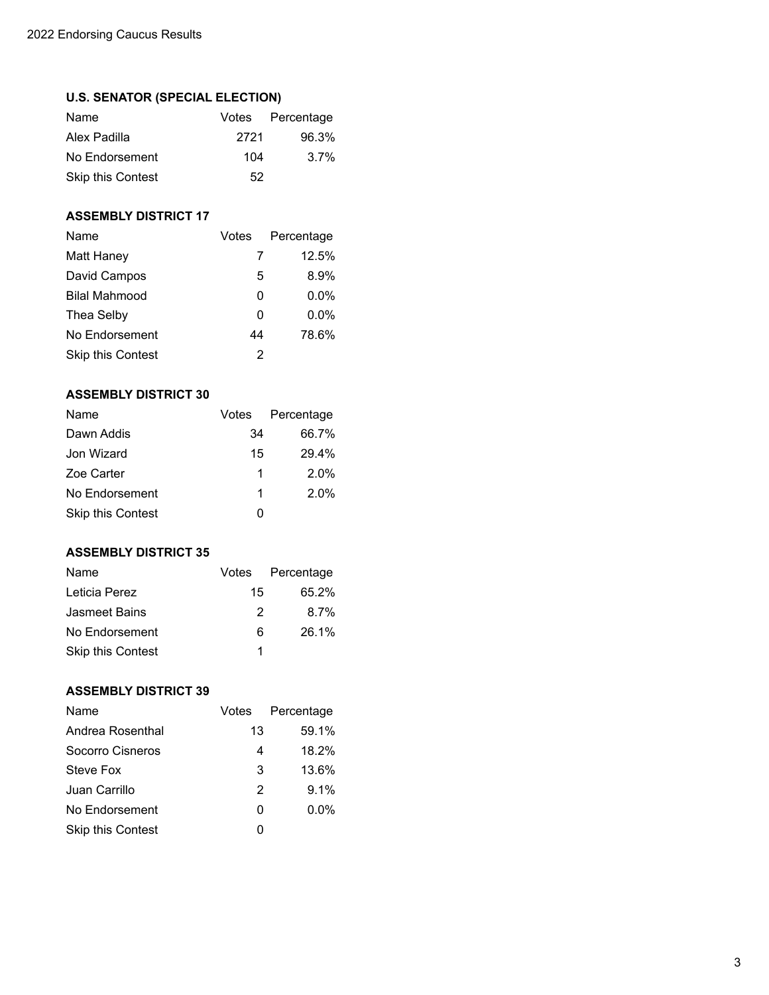## **U.S. SENATOR (SPECIAL ELECTION)**

| Name                     |      | Votes Percentage |
|--------------------------|------|------------------|
| Alex Padilla             | 2721 | 96.3%            |
| No Endorsement           | 104  | $3.7\%$          |
| <b>Skip this Contest</b> | 52   |                  |

### **ASSEMBLY DISTRICT 17**

| Name                     | Votes | Percentage |
|--------------------------|-------|------------|
| <b>Matt Haney</b>        | 7     | 12.5%      |
| David Campos             | 5     | 8.9%       |
| <b>Bilal Mahmood</b>     | 0     | $0.0\%$    |
| Thea Selby               | 0     | $0.0\%$    |
| No Endorsement           | 44    | 78.6%      |
| <b>Skip this Contest</b> | 2     |            |

# **ASSEMBLY DISTRICT 30**

| Name                     | Votes | Percentage |
|--------------------------|-------|------------|
| Dawn Addis               | 34    | 66.7%      |
| Jon Wizard               | 15    | 29.4%      |
| Zoe Carter               | 1     | 2.0%       |
| No Endorsement           | 1     | 2.0%       |
| <b>Skip this Contest</b> | O     |            |

#### **ASSEMBLY DISTRICT 35**

| Name                     |               | Votes Percentage |
|--------------------------|---------------|------------------|
| Leticia Perez            | 15            | 65.2%            |
| Jasmeet Bains            | $\mathcal{P}$ | $8.7\%$          |
| No Endorsement           | 6             | 26.1%            |
| <b>Skip this Contest</b> |               |                  |

## **ASSEMBLY DISTRICT 39**

| Name                     | Votes | Percentage |
|--------------------------|-------|------------|
| Andrea Rosenthal         | 13    | 59.1%      |
| Socorro Cisneros         | 4     | 18.2%      |
| Steve Fox                | 3     | 13.6%      |
| Juan Carrillo            | 2     | 9.1%       |
| No Endorsement           | 0     | $0.0\%$    |
| <b>Skip this Contest</b> | O     |            |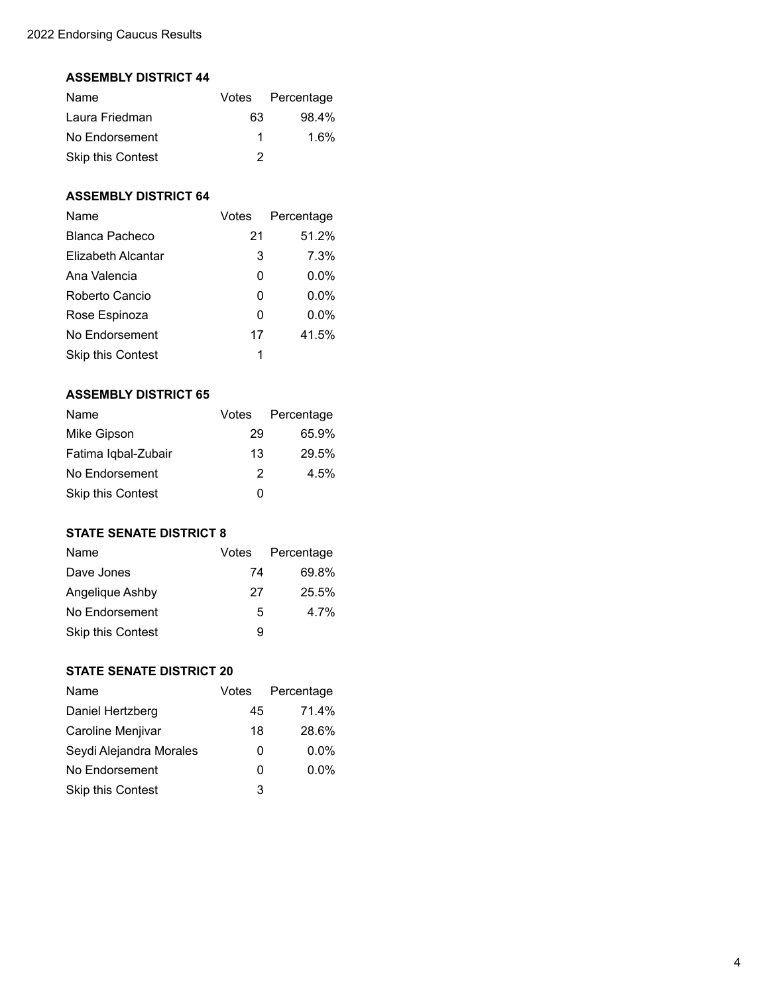#### **ASSEMBLY DISTRICT 44**

| Name                     |    | Votes Percentage |
|--------------------------|----|------------------|
| Laura Friedman           | 63 | $98.4\%$         |
| No Endorsement           | 1  | 1.6%             |
| <b>Skip this Contest</b> | 2  |                  |

## **ASSEMBLY DISTRICT 64**

| Name                     | Votes | Percentage |
|--------------------------|-------|------------|
| Blanca Pacheco           | 21    | 51.2%      |
| Elizabeth Alcantar       | 3     | 7.3%       |
| Ana Valencia             | O     | $0.0\%$    |
| Roberto Cancio           | 0     | $0.0\%$    |
| Rose Espinoza            | 0     | $0.0\%$    |
| No Endorsement           | 17    | 41.5%      |
| <b>Skip this Contest</b> | 1     |            |

# **ASSEMBLY DISTRICT 65**

| Name                     |    | Votes Percentage |
|--------------------------|----|------------------|
| Mike Gipson              | 29 | 65.9%            |
| Fatima Iqbal-Zubair      | 13 | 29.5%            |
| No Endorsement           | 2  | $4.5\%$          |
| <b>Skip this Contest</b> | O  |                  |

## **STATE SENATE DISTRICT 8**

| Name                     |    | Votes Percentage |
|--------------------------|----|------------------|
| Dave Jones               | 74 | 69.8%            |
| Angelique Ashby          | 27 | 25.5%            |
| No Endorsement           | 5  | 4.7%             |
| <b>Skip this Contest</b> | 9  |                  |

### **STATE SENATE DISTRICT 20**

| Name                    | Votes | Percentage |
|-------------------------|-------|------------|
| Daniel Hertzberg        | 45    | 71.4%      |
| Caroline Menjivar       | 18    | 28.6%      |
| Seydi Alejandra Morales | 0     | $0.0\%$    |
| No Endorsement          | O     | $0.0\%$    |
| Skip this Contest       | 3     |            |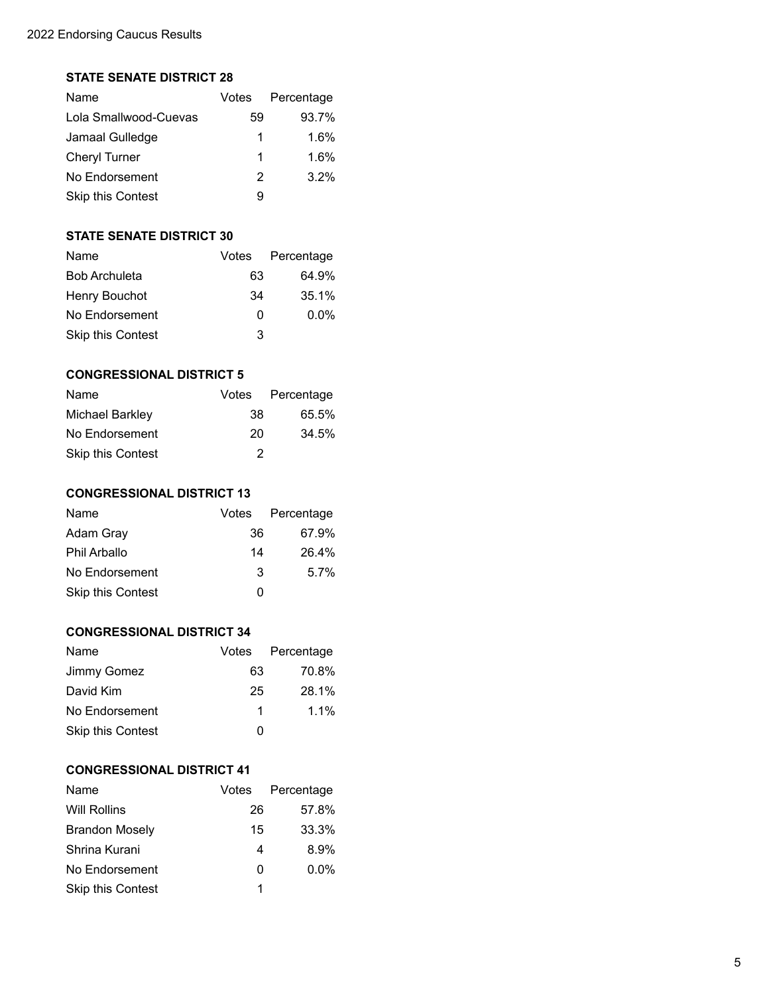## **STATE SENATE DISTRICT 28**

| Name                     | Votes | Percentage |
|--------------------------|-------|------------|
| Lola Smallwood-Cuevas    | 59    | 93.7%      |
| Jamaal Gulledge          | 1     | 1.6%       |
| <b>Cheryl Turner</b>     | 1     | 1.6%       |
| No Endorsement           | 2     | 3.2%       |
| <b>Skip this Contest</b> | 9     |            |

# **STATE SENATE DISTRICT 30**

| Name                     | Votes | Percentage |
|--------------------------|-------|------------|
| <b>Bob Archuleta</b>     | 63    | 64.9%      |
| Henry Bouchot            | 34    | 35.1%      |
| No Endorsement           | U     | $0.0\%$    |
| <b>Skip this Contest</b> | 3     |            |

# **CONGRESSIONAL DISTRICT 5**

| Name                     |    | Votes Percentage |
|--------------------------|----|------------------|
| Michael Barkley          | 38 | 65.5%            |
| No Endorsement           | 20 | 34.5%            |
| <b>Skip this Contest</b> | 2  |                  |

# **CONGRESSIONAL DISTRICT 13**

| Name                     |    | Votes Percentage |
|--------------------------|----|------------------|
| Adam Gray                | 36 | 67.9%            |
| <b>Phil Arballo</b>      | 14 | 26.4%            |
| No Endorsement           | 3  | $5.7\%$          |
| <b>Skip this Contest</b> | O  |                  |

## **CONGRESSIONAL DISTRICT 34**

| Name              |    | Votes Percentage |
|-------------------|----|------------------|
| Jimmy Gomez       | 63 | 70.8%            |
| David Kim         | 25 | 28.1%            |
| No Endorsement    | 1  | $1.1\%$          |
| Skip this Contest | 0  |                  |

## **CONGRESSIONAL DISTRICT 41**

| Name                     | Votes | Percentage |
|--------------------------|-------|------------|
| <b>Will Rollins</b>      | 26    | 57.8%      |
| <b>Brandon Mosely</b>    | 15    | 33.3%      |
| Shrina Kurani            | 4     | 8.9%       |
| No Endorsement           | O     | $0.0\%$    |
| <b>Skip this Contest</b> | 1     |            |